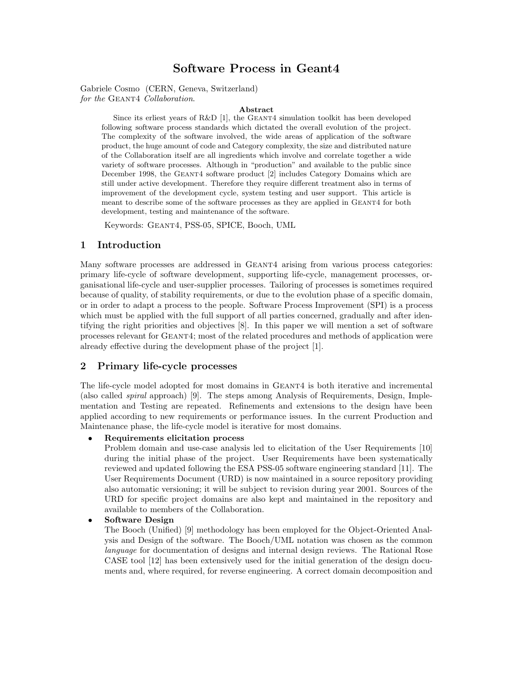# **Software Process in Geant4**

Gabriele Cosmo (CERN, Geneva, Switzerland) *for the* Geant4 *Collaboration*.

#### **Abstract**

Since its erliest years of R&D [1], the GEANT4 simulation toolkit has been developed following software process standards which dictated the overall evolution of the project. The complexity of the software involved, the wide areas of application of the software product, the huge amount of code and Category complexity, the size and distributed nature of the Collaboration itself are all ingredients which involve and correlate together a wide variety of software processes.Although in "production" and available to the public since December 1998, the GEANT4 software product [2] includes Category Domains which are still under active development.Therefore they require different treatment also in terms of improvement of the development cycle, system testing and user support.This article is meant to describe some of the software processes as they are applied in GEANT4 for both development, testing and maintenance of the software.

Keywords: Geant4, PSS-05, SPICE, Booch, UML

#### **1 Introduction**

Many software processes are addressed in GEANT4 arising from various process categories: primary life-cycle of software development, supporting life-cycle, management processes, organisational life-cycle and user-supplier processes. Tailoring of processes is sometimes required because of quality, of stability requirements, or due to the evolution phase of a specific domain, or in order to adapt a process to the people. Software Process Improvement (SPI) is a process which must be applied with the full support of all parties concerned, gradually and after identifying the right priorities and objectives [8]. In this paper we will mention a set of software processes relevant for Geant4; most of the related procedures and methods of application were already effective during the development phase of the project [1].

# **2 Primary life-cycle processes**

The life-cycle model adopted for most domains in Geant4 is both iterative and incremental (also called *spiral* approach) [9]. The steps among Analysis of Requirements, Design, Implementation and Testing are repeated. Refinements and extensions to the design have been applied according to new requirements or performance issues. In the current Production and Maintenance phase, the life-cycle model is iterative for most domains.

#### *•* **Requirements elicitation process**

Problem domain and use-case analysis led to elicitation of the User Requirements [10] during the initial phase of the project. User Requirements have been systematically reviewed and updated following the ESA PSS-05 software engineering standard [11]. The User Requirements Document (URD) is now maintained in a source repository providing also automatic versioning; it will be subject to revision during year 2001. Sources of the URD for specific project domains are also kept and maintained in the repository and available to members of the Collaboration.

### *•* **Software Design**

The Booch (Unified) [9] methodology has been employed for the Object-Oriented Analysis and Design of the software. The Booch/UML notation was chosen as the common *language* for documentation of designs and internal design reviews. The Rational Rose CASE tool [12] has been extensively used for the initial generation of the design documents and, where required, for reverse engineering. A correct domain decomposition and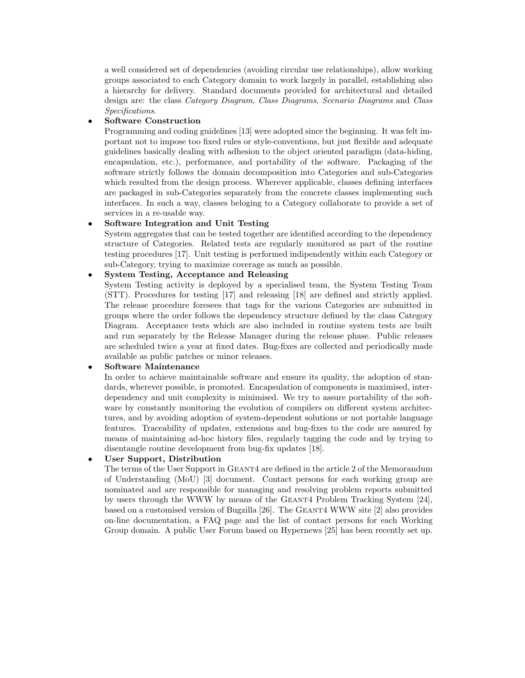a well considered set of dependencies (avoiding circular use relationships), allow working groups associated to each Category domain to work largely in parallel, establishing also a hierarchy for delivery. Standard documents provided for architectural and detailed design are: the class *Category Diagram*, *Class Diagrams*, *Scenario Diagrams* and *Class Specifications*.

#### *•* **Software Construction**

Programming and coding guidelines [13] were adopted since the beginning. It was felt important not to impose too fixed rules or style-conventions, but just flexible and adequate guidelines basically dealing with adhesion to the object oriented paradigm (data-hiding, encapsulation, etc.), performance, and portability of the software. Packaging of the software strictly follows the domain decomposition into Categories and sub-Categories which resulted from the design process. Wherever applicable, classes defining interfaces are packaged in sub-Categories separately from the concrete classes implementing such interfaces. In such a way, classes beloging to a Category collaborate to provide a set of services in a re-usable way.

#### *•* **Software Integration and Unit Testing**

System aggregates that can be tested together are identified according to the dependency structure of Categories. Related tests are regularly monitored as part of the routine testing procedures [17]. Unit testing is performed indipendently within each Category or sub-Category, trying to maximize coverage as much as possible.

#### *•* **System Testing, Acceptance and Releasing**

System Testing activity is deployed by a specialised team, the System Testing Team (STT). Procedures for testing [17] and releasing [18] are defined and strictly applied. The release procedure foresees that tags for the various Categories are submitted in groups where the order follows the dependency structure defined by the class Category Diagram. Acceptance tests which are also included in routine system tests are built and run separately by the Release Manager during the release phase. Public releases are scheduled twice a year at fixed dates. Bug-fixes are collected and periodically made available as public patches or minor releases.

### *•* **Software Maintenance**

In order to achieve maintainable software and ensure its quality, the adoption of standards, wherever possible, is promoted. Encapsulation of components is maximised, interdependency and unit complexity is minimised. We try to assure portability of the software by constantly monitoring the evolution of compilers on different system architectures, and by avoiding adoption of system-dependent solutions or not portable language features. Traceability of updates, extensions and bug-fixes to the code are assured by means of maintaining ad-hoc history files, regularly tagging the code and by trying to disentangle routine development from bug-fix updates [18].

### *•* **User Support, Distribution**

The terms of the User Support in GEANT4 are defined in the article 2 of the Memorandum of Understanding (MoU) [3] document. Contact persons for each working group are nominated and are responsible for managing and resolving problem reports submitted by users through the WWW by means of the Geant4 Problem Tracking System [24], based on a customised version of Bugzilla [26]. The Geant4 WWW site [2] also provides on-line documentation, a FAQ page and the list of contact persons for each Working Group domain. A public User Forum based on Hypernews [25] has been recently set up.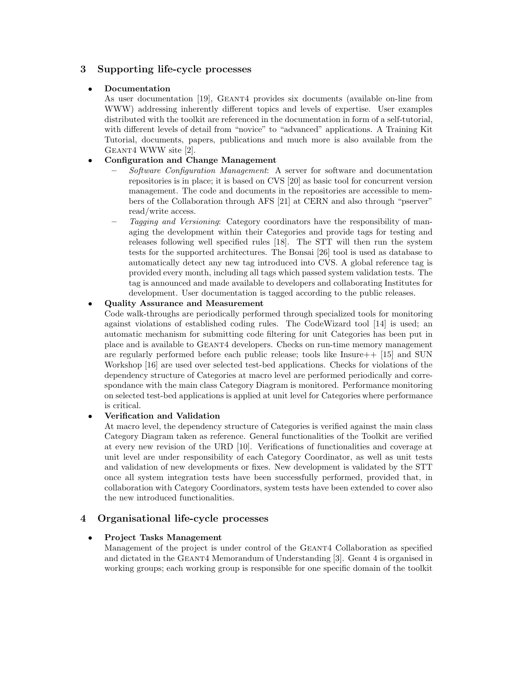# **3 Supporting life-cycle processes**

### *•* **Documentation**

As user documentation [19], GEANT4 provides six documents (available on-line from WWW) addressing inherently different topics and levels of expertise. User examples distributed with the toolkit are referenced in the documentation in form of a self-tutorial, with different levels of detail from "novice" to "advanced" applications. A Training Kit Tutorial, documents, papers, publications and much more is also available from the Geant4 WWW site [2].

# *•* **Configuration and Change Management**

- **–** *Software Configuration Management*: A server for software and documentation repositories is in place; it is based on CVS [20] as basic tool for concurrent version management. The code and documents in the repositories are accessible to members of the Collaboration through AFS [21] at CERN and also through "pserver" read/write access.
- **–** *Tagging and Versioning*: Category coordinators have the responsibility of managing the development within their Categories and provide tags for testing and releases following well specified rules [18]. The STT will then run the system tests for the supported architectures. The Bonsai [26] tool is used as database to automatically detect any new tag introduced into CVS. A global reference tag is provided every month, including all tags which passed system validation tests. The tag is announced and made available to developers and collaborating Institutes for development. User documentation is tagged according to the public releases.

# *•* **Quality Assurance and Measurement**

Code walk-throughs are periodically performed through specialized tools for monitoring against violations of established coding rules. The CodeWizard tool [14] is used; an automatic mechanism for submitting code filtering for unit Categories has been put in place and is available to Geant4 developers. Checks on run-time memory management are regularly performed before each public release; tools like  $\text{Insure++}$  [15] and SUN Workshop [16] are used over selected test-bed applications. Checks for violations of the dependency structure of Categories at macro level are performed periodically and correspondance with the main class Category Diagram is monitored. Performance monitoring on selected test-bed applications is applied at unit level for Categories where performance is critical.

### *•* **Verification and Validation**

At macro level, the dependency structure of Categories is verified against the main class Category Diagram taken as reference. General functionalities of the Toolkit are verified at every new revision of the URD [10]. Verifications of functionalities and coverage at unit level are under responsibility of each Category Coordinator, as well as unit tests and validation of new developments or fixes. New development is validated by the STT once all system integration tests have been successfully performed, provided that, in collaboration with Category Coordinators, system tests have been extended to cover also the new introduced functionalities.

# **4 Organisational life-cycle processes**

### *•* **Project Tasks Management**

Management of the project is under control of the GEANT4 Collaboration as specified and dictated in the Geant4 Memorandum of Understanding [3]. Geant 4 is organised in working groups; each working group is responsible for one specific domain of the toolkit